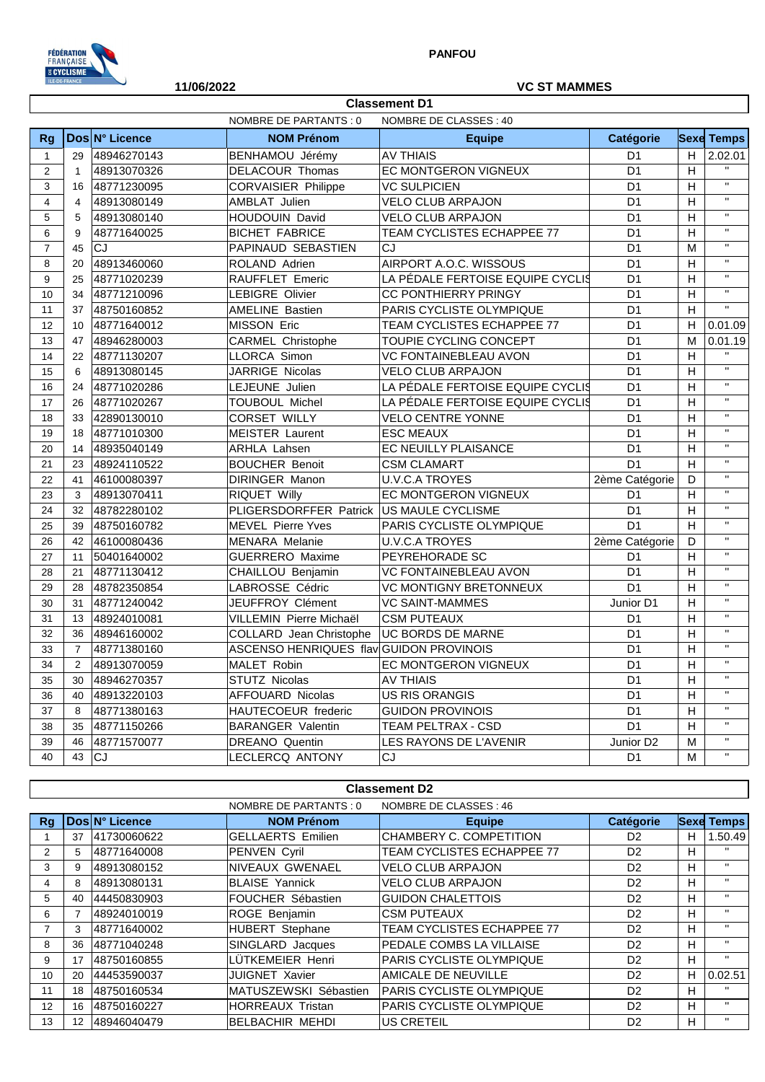

## **11/06/2022 VC ST MAMMES**

|                | NOMBRE DE PARTANTS : 0<br>NOMBRE DE CLASSES: 40 |                |                                         |                                  |                 |                           |                         |  |  |
|----------------|-------------------------------------------------|----------------|-----------------------------------------|----------------------------------|-----------------|---------------------------|-------------------------|--|--|
| Rg             |                                                 | Dos N° Licence | <b>NOM Prénom</b>                       | <b>Equipe</b>                    | Catégorie       |                           | <b>Sexe Temps</b>       |  |  |
| $\mathbf{1}$   | 29                                              | 48946270143    | BENHAMOU Jérémy                         | <b>AV THIAIS</b>                 | D <sub>1</sub>  | H                         | 2.02.01                 |  |  |
| $\overline{2}$ | $\mathbf{1}$                                    | 48913070326    | DELACOUR Thomas                         | EC MONTGERON VIGNEUX             | D <sub>1</sub>  | $\boldsymbol{\mathsf{H}}$ | $\mathbf{H}$            |  |  |
| 3              | 16                                              | 48771230095    | <b>CORVAISIER Philippe</b>              | <b>VC SULPICIEN</b>              | D <sub>1</sub>  | $\boldsymbol{\mathsf{H}}$ | $\mathbf{u}$            |  |  |
| $\overline{4}$ | $\overline{4}$                                  | 48913080149    | AMBLAT Julien                           | <b>VELO CLUB ARPAJON</b>         | D <sub>1</sub>  | н                         | $\bar{\mathbf{H}}$      |  |  |
| 5              | 5                                               | 48913080140    | HOUDOUIN David                          | VELO CLUB ARPAJON                | D <sub>1</sub>  | Н                         | $\bar{\mathbf{H}}$      |  |  |
| 6              | 9                                               | 48771640025    | <b>BICHET FABRICE</b>                   | TEAM CYCLISTES ECHAPPEE 77       | D <sub>1</sub>  | н                         | $\mathbf{H}$            |  |  |
| $\overline{7}$ | 45                                              | CJ             | PAPINAUD SEBASTIEN                      | CJ                               | D <sub>1</sub>  | M                         | $\mathbf{H}$            |  |  |
| 8              | 20                                              | 48913460060    | ROLAND Adrien                           | AIRPORT A.O.C. WISSOUS           | D <sub>1</sub>  | н                         | $\mathbf{H}$            |  |  |
| 9              | 25                                              | 48771020239    | RAUFFLET Emeric                         | LA PÉDALE FERTOISE EQUIPE CYCLIS | D <sub>1</sub>  | Н                         | $\mathbf{H}$            |  |  |
| 10             | 34                                              | 48771210096    | LEBIGRE Olivier                         | CC PONTHIERRY PRINGY             | D <sub>1</sub>  | H                         | $\mathbf{H}$            |  |  |
| 11             | 37                                              | 48750160852    | <b>AMELINE Bastien</b>                  | PARIS CYCLISTE OLYMPIQUE         | D <sub>1</sub>  | H                         | $\bar{\mathbf{u}}$      |  |  |
| 12             | 10                                              | 48771640012    | <b>MISSON Eric</b>                      | TEAM CYCLISTES ECHAPPEE 77       | D <sub>1</sub>  | H                         | 0.01.09                 |  |  |
| 13             | 47                                              | 48946280003    | <b>CARMEL Christophe</b>                | TOUPIE CYCLING CONCEPT           | D <sub>1</sub>  | M                         | 0.01.19                 |  |  |
| 14             | 22                                              | 48771130207    | LLORCA Simon                            | <b>VC FONTAINEBLEAU AVON</b>     | D <sub>1</sub>  | H                         | $\mathbf{H}$            |  |  |
| 15             | 6                                               | 48913080145    | JARRIGE Nicolas                         | <b>VELO CLUB ARPAJON</b>         | D <sub>1</sub>  | H                         | $\mathbf{H}$            |  |  |
| 16             | 24                                              | 48771020286    | LEJEUNE Julien                          | LA PÉDALE FERTOISE EQUIPE CYCLIS | D <sub>1</sub>  | H                         | $\bar{\mathbf{H}}$      |  |  |
| 17             | 26                                              | 48771020267    | TOUBOUL Michel                          | LA PÉDALE FERTOISE EQUIPE CYCLIS | D <sub>1</sub>  | H                         | $\mathbf{H}$            |  |  |
| 18             | 33                                              | 42890130010    | CORSET WILLY                            | <b>VELO CENTRE YONNE</b>         | D <sub>1</sub>  | H                         | $\mathbf{H}$            |  |  |
| 19             | 18                                              | 48771010300    | MEISTER Laurent                         | <b>ESC MEAUX</b>                 | D <sub>1</sub>  | H                         | $\mathbf{H}$            |  |  |
| 20             | 14                                              | 48935040149    | <b>ARHLA Lahsen</b>                     | EC NEUILLY PLAISANCE             | D <sub>1</sub>  | H                         | $\mathbf{H}$            |  |  |
| 21             | 23                                              | 48924110522    | <b>BOUCHER Benoit</b>                   | <b>CSM CLAMART</b>               | D <sub>1</sub>  | H                         | $\mathbf{H}$            |  |  |
| 22             | 41                                              | 46100080397    | <b>DIRINGER Manon</b>                   | <b>U.V.C.A TROYES</b>            | 2ème Catégorie  | D                         | $\mathbf{H}$            |  |  |
| 23             | 3                                               | 48913070411    | RIQUET Willy                            | EC MONTGERON VIGNEUX             | D <sub>1</sub>  | H                         | $\mathbf{H}$            |  |  |
| 24             | 32                                              | 48782280102    | PLIGERSDORFFER Patrick                  | US MAULE CYCLISME                | D <sub>1</sub>  | H                         | $\mathbf{H}$            |  |  |
| 25             | 39                                              | 48750160782    | <b>MEVEL Pierre Yves</b>                | PARIS CYCLISTE OLYMPIQUE         | D <sub>1</sub>  | H                         | $\mathbf{H}$            |  |  |
| 26             | 42                                              | 46100080436    | <b>MENARA Melanie</b>                   | <b>U.V.C.A TROYES</b>            | 2ème Catégorie  | D                         | $\mathbf{H}$            |  |  |
| 27             | 11                                              | 50401640002    | <b>GUERRERO</b> Maxime                  | PEYREHORADE SC                   | D <sub>1</sub>  | H                         | $\mathbf{H}$            |  |  |
| 28             | 21                                              | 48771130412    | CHAILLOU Benjamin                       | <b>VC FONTAINEBLEAU AVON</b>     | D <sub>1</sub>  | H                         | $\overline{\mathbf{u}}$ |  |  |
| 29             | 28                                              | 48782350854    | LABROSSE Cédric                         | <b>VC MONTIGNY BRETONNEUX</b>    | D <sub>1</sub>  | H                         | $\mathbf{H}$            |  |  |
| 30             | 31                                              | 48771240042    | JEUFFROY Clément                        | <b>VC SAINT-MAMMES</b>           | Junior D1       | H                         | $\mathbf{H}$            |  |  |
| 31             | 13                                              | 48924010081    | VILLEMIN Pierre Michaël                 | <b>CSM PUTEAUX</b>               | D <sub>1</sub>  | H                         | $\mathbf{H}$            |  |  |
| 32             | 36                                              | 48946160002    | COLLARD Jean Christophe                 | UC BORDS DE MARNE                | D <sub>1</sub>  | H                         | $\mathbf{H}$            |  |  |
| 33             | $\overline{7}$                                  | 48771380160    | ASCENSO HENRIQUES flav GUIDON PROVINOIS |                                  | D <sub>1</sub>  | H                         | $\mathbf{H}$            |  |  |
| 34             | $\overline{2}$                                  | 48913070059    | MALET Robin                             | EC MONTGERON VIGNEUX             | D <sub>1</sub>  | H                         | $\mathbf{H}$            |  |  |
| 35             | 30                                              | 48946270357    | STUTZ Nicolas                           | <b>AV THIAIS</b>                 | D <sub>1</sub>  | H                         | $\mathbf{H}$            |  |  |
| 36             | 40                                              | 48913220103    | <b>AFFOUARD Nicolas</b>                 | <b>US RIS ORANGIS</b>            | D <sub>1</sub>  | H                         | $\mathbf{H}$            |  |  |
| 37             | 8                                               | 48771380163    | HAUTECOEUR frederic                     | <b>GUIDON PROVINOIS</b>          | D <sub>1</sub>  | H                         | $\mathbf{H}$            |  |  |
| 38             | 35                                              | 48771150266    | <b>BARANGER Valentin</b>                | <b>TEAM PELTRAX - CSD</b>        | $\overline{D1}$ | H                         | $\mathbf{H}$            |  |  |
| 39             | 46                                              | 48771570077    | <b>DREANO</b> Quentin                   | LES RAYONS DE L'AVENIR           | Junior D2       | M                         | $\mathbf{H}$            |  |  |
| 40             | 43                                              | CJ             | LECLERCQ ANTONY                         | CJ                               | D <sub>1</sub>  | M                         | $\overline{\mathbf{u}}$ |  |  |

**Classement D1**

|                   | <b>Classement D2</b> |                |                          |                                   |                |    |                   |  |  |
|-------------------|----------------------|----------------|--------------------------|-----------------------------------|----------------|----|-------------------|--|--|
|                   |                      |                | NOMBRE DE PARTANTS : 0   | NOMBRE DE CLASSES : 46            |                |    |                   |  |  |
| Rg                |                      | Dos N° Licence | <b>NOM Prénom</b>        | <b>Equipe</b>                     | Catégorie      |    | <b>Sexe Temps</b> |  |  |
|                   | 37                   | 41730060622    | <b>GELLAERTS Emilien</b> | CHAMBERY C. COMPETITION           | D <sub>2</sub> | н  | 1.50.49           |  |  |
| $\overline{2}$    | 5.                   | 48771640008    | <b>PENVEN Cyril</b>      | TEAM CYCLISTES ECHAPPEE 77        | D <sub>2</sub> | H  | $\mathbf{H}$      |  |  |
| 3                 | 9                    | 48913080152    | NIVEAUX GWENAEL          | <b>VELO CLUB ARPAJON</b>          | D <sub>2</sub> | H  | $\mathbf{H}$      |  |  |
| 4                 | 8                    | 48913080131    | <b>BLAISE Yannick</b>    | <b>VELO CLUB ARPAJON</b>          | D <sub>2</sub> | H. | $\mathbf{H}$      |  |  |
| 5                 | 40                   | 44450830903    | FOUCHER Sébastien        | <b>GUIDON CHALETTOIS</b>          | D <sub>2</sub> | H  | $\mathbf{H}$      |  |  |
| 6                 |                      | 48924010019    | ROGE Benjamin            | <b>CSM PUTEAUX</b>                | D <sub>2</sub> | H  | $\mathbf{H}$      |  |  |
|                   | 3                    | 48771640002    | HUBERT Stephane          | <b>TEAM CYCLISTES ECHAPPEE 77</b> | D <sub>2</sub> | H  | $\mathbf{H}$      |  |  |
| 8                 | 36                   | 48771040248    | SINGLARD Jacques         | PEDALE COMBS LA VILLAISE          | D <sub>2</sub> | H. | $\mathbf{H}$      |  |  |
| 9                 | 17                   | 48750160855    | LÜTKEMEIER Henri         | PARIS CYCLISTE OLYMPIQUE          | D <sub>2</sub> | H  | $\mathbf{H}$      |  |  |
| 10 <sup>°</sup>   | 20                   | 44453590037    | <b>JUIGNET Xavier</b>    | AMICALE DE NEUVILLE               | D <sub>2</sub> | н  | 0.02.51           |  |  |
| 11                | 18                   | 48750160534    | MATUSZEWSKI Sébastien    | PARIS CYCLISTE OLYMPIQUE          | D <sub>2</sub> | H. | $\mathbf{H}$      |  |  |
| $12 \overline{ }$ | 16                   | 48750160227    | <b>HORREAUX Tristan</b>  | <b>PARIS CYCLISTE OLYMPIQUE</b>   | D <sub>2</sub> | H  | $\mathbf{H}$      |  |  |
| 13                | 12 <sup>2</sup>      | 48946040479    | <b>BELBACHIR MEHDI</b>   | US CRETEIL                        | D <sub>2</sub> | H  |                   |  |  |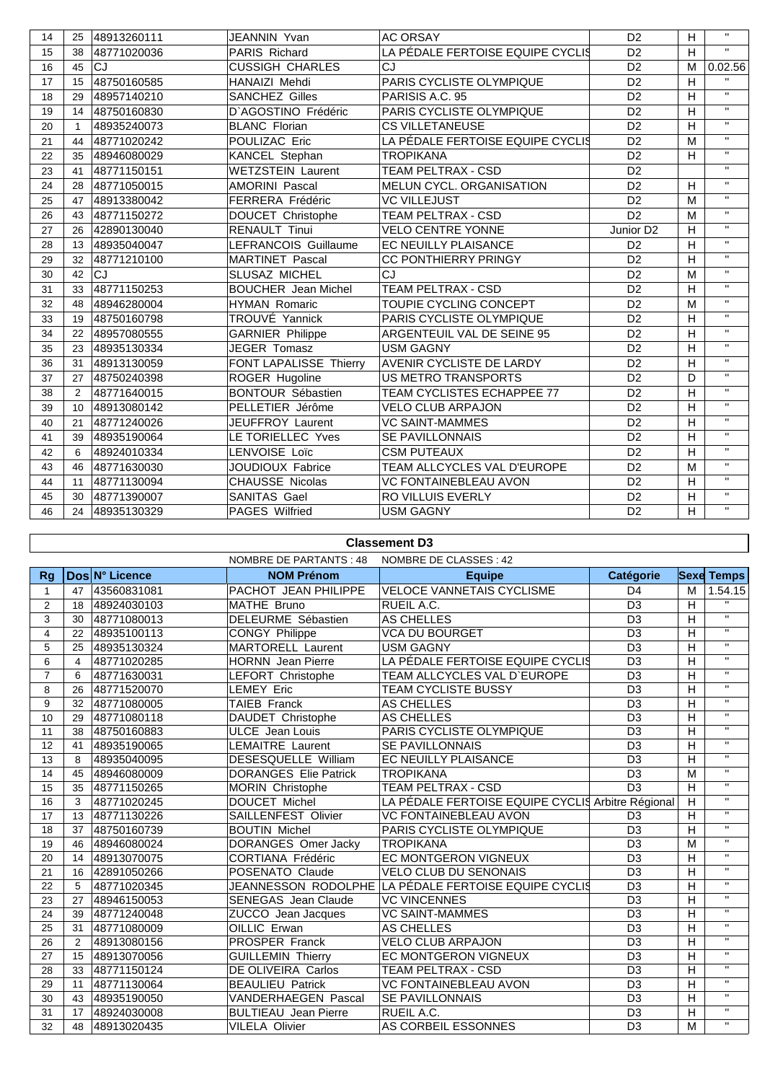| $\mathbf{H}$<br>H<br>LA PÉDALE FERTOISE EQUIPE CYCLI§<br>D <sub>2</sub><br>48771020036<br><b>PARIS Richard</b><br>15<br>38<br><b>CJ</b><br>CJ<br>16<br><b>CUSSIGH CHARLES</b><br>D <sub>2</sub><br>45<br>M<br>HANAIZI Mehdi<br>D <sub>2</sub><br>H<br>17<br>48750160585<br>PARIS CYCLISTE OLYMPIQUE<br>15<br>$\mathbf{H}$<br>H<br><b>SANCHEZ Gilles</b><br>PARISIS A.C. 95<br>D <sub>2</sub><br>18<br>48957140210<br>29<br>$\mathbf{H}$<br>H<br>D'AGOSTINO Frédéric<br>PARIS CYCLISTE OLYMPIQUE<br>D <sub>2</sub><br>48750160830<br>19<br>14<br>$\mathbf{H}$<br>D <sub>2</sub><br>H<br><b>CS VILLETANEUSE</b><br>20<br>48935240073<br><b>BLANC Florian</b><br>$\mathbf{1}$<br>$\mathbf{H}$<br>POULIZAC Eric<br>D <sub>2</sub><br>LA PÉDALE FERTOISE EQUIPE CYCLI§<br>M<br>21<br>48771020242<br>44<br>$\mathbf{H}$<br>D <sub>2</sub><br>H<br>KANCEL Stephan<br>22<br>48946080029<br><b>TROPIKANA</b><br>35<br>$\mathbf{H}$<br><b>WETZSTEIN Laurent</b><br>TEAM PELTRAX - CSD<br>D <sub>2</sub><br>23<br>48771150151<br>41<br>$\mathbf{H}$<br>MELUN CYCL. ORGANISATION<br>H<br>24<br><b>AMORINI Pascal</b><br>D <sub>2</sub><br>28<br>48771050015<br>$\mathbf{H}$<br>D <sub>2</sub><br>M<br>25<br>48913380042<br><b>FERRERA Frédéric</b><br><b>VC VILLEJUST</b><br>47<br>$\mathbf{H}$<br>D <sub>2</sub><br>M<br>TEAM PELTRAX - CSD<br>48771150272<br>DOUCET Christophe<br>26<br>43<br>$\mathbf{H}$<br>H<br>27<br>42890130040<br><b>RENAULT Tinui</b><br><b>VELO CENTRE YONNE</b><br>Junior D <sub>2</sub><br>26<br>$\mathbf{H}$<br>H<br>EC NEUILLY PLAISANCE<br>28<br>48935040047<br>LEFRANCOIS Guillaume<br>D <sub>2</sub><br>13<br>$\mathbf{H}$<br>$\overline{D2}$<br>$\overline{H}$<br>CC PONTHIERRY PRINGY<br>48771210100<br><b>MARTINET Pascal</b><br>29<br>32<br>$\mathbf{H}$<br>D <sub>2</sub><br><b>CJ</b><br><b>SLUSAZ MICHEL</b><br>CJ<br>M<br>30<br>42<br>$\mathbf{H}$<br>48771150253<br><b>BOUCHER</b> Jean Michel<br>TEAM PELTRAX - CSD<br>D <sub>2</sub><br>H<br>31<br>33<br>$\mathbf{H}$<br>32<br>TOUPIE CYCLING CONCEPT<br>D <sub>2</sub><br>M<br>48<br><b>HYMAN Romaric</b><br>48946280004<br>$\mathbf{H}$<br>TROUVÉ Yannick<br>D <sub>2</sub><br>H<br>PARIS CYCLISTE OLYMPIQUE<br>48750160798<br>33<br>19<br>$\mathbf{H}$<br>H<br>D <sub>2</sub><br><b>GARNIER Philippe</b><br>ARGENTEUIL VAL DE SEINE 95<br>34<br>48957080555<br>22<br>$\bar{\mathbf{H}}$<br>H<br>35<br>JEGER Tomasz<br><b>USM GAGNY</b><br>D <sub>2</sub><br>23<br>48935130334<br>$\mathbf{H}$<br>AVENIR CYCLISTE DE LARDY<br>H<br>FONT LAPALISSE Thierry<br>D <sub>2</sub><br>36<br>31<br>48913130059<br>$\mathbf{H}$<br>D <sub>2</sub><br>ROGER Hugoline<br><b>US METRO TRANSPORTS</b><br>D<br>37<br>48750240398<br>27<br>$\mathbf{H}$<br><b>BONTOUR Sébastien</b><br>TEAM CYCLISTES ECHAPPEE 77<br>D <sub>2</sub><br>H<br>38<br>48771640015<br>2<br>$\mathbf{H}$<br>H<br>PELLETIER Jérôme<br><b>VELO CLUB ARPAJON</b><br>D <sub>2</sub><br>39<br>48913080142<br>10 <sup>1</sup><br>$\mathbf{H}$<br>D <sub>2</sub><br>H<br>40<br>48771240026<br>JEUFFROY Laurent<br><b>VC SAINT-MAMMES</b><br>21<br>$\mathbf{H}$<br>D <sub>2</sub><br>H<br>LE TORIELLEC Yves<br>SE PAVILLONNAIS<br>48935190064<br>41<br>39<br>$\mathbf{H}$<br>H<br>42<br>LENVOISE Loïc<br>D <sub>2</sub><br>6<br>48924010334<br><b>CSM PUTEAUX</b><br>$\mathbf{H}$<br>TEAM ALLCYCLES VAL D'EUROPE<br>43<br>48771630030<br><b>JOUDIOUX Fabrice</b><br>D <sub>2</sub><br>M<br>46<br>$\mathbf{H}$<br>D <sub>2</sub><br>H<br>CHAUSSE Nicolas<br><b>VC FONTAINEBLEAU AVON</b><br>48771130094<br>44<br>11<br>$\mathbf{H}$<br>H<br>RO VILLUIS EVERLY<br>D <sub>2</sub><br>48771390007<br>SANITAS Gael<br>45<br>30<br>$\mathbf{H}$<br>D <sub>2</sub><br>H<br>46<br>48935130329<br>PAGES Wilfried<br><b>USM GAGNY</b><br>24 | 14 | 25 | 48913260111 | <b>JEANNIN Yvan</b> | <b>AC ORSAY</b> | D <sub>2</sub> | H | $\mathbf{H}$ |
|------------------------------------------------------------------------------------------------------------------------------------------------------------------------------------------------------------------------------------------------------------------------------------------------------------------------------------------------------------------------------------------------------------------------------------------------------------------------------------------------------------------------------------------------------------------------------------------------------------------------------------------------------------------------------------------------------------------------------------------------------------------------------------------------------------------------------------------------------------------------------------------------------------------------------------------------------------------------------------------------------------------------------------------------------------------------------------------------------------------------------------------------------------------------------------------------------------------------------------------------------------------------------------------------------------------------------------------------------------------------------------------------------------------------------------------------------------------------------------------------------------------------------------------------------------------------------------------------------------------------------------------------------------------------------------------------------------------------------------------------------------------------------------------------------------------------------------------------------------------------------------------------------------------------------------------------------------------------------------------------------------------------------------------------------------------------------------------------------------------------------------------------------------------------------------------------------------------------------------------------------------------------------------------------------------------------------------------------------------------------------------------------------------------------------------------------------------------------------------------------------------------------------------------------------------------------------------------------------------------------------------------------------------------------------------------------------------------------------------------------------------------------------------------------------------------------------------------------------------------------------------------------------------------------------------------------------------------------------------------------------------------------------------------------------------------------------------------------------------------------------------------------------------------------------------------------------------------------------------------------------------------------------------------------------------------------------------------------------------------------------------------------------------------------------------------------------------------------------------------------------------------------------------------------------------------------------------------------------------------------------------------------------------------------------------------------------------------------------------------------------------------------|----|----|-------------|---------------------|-----------------|----------------|---|--------------|
|                                                                                                                                                                                                                                                                                                                                                                                                                                                                                                                                                                                                                                                                                                                                                                                                                                                                                                                                                                                                                                                                                                                                                                                                                                                                                                                                                                                                                                                                                                                                                                                                                                                                                                                                                                                                                                                                                                                                                                                                                                                                                                                                                                                                                                                                                                                                                                                                                                                                                                                                                                                                                                                                                                                                                                                                                                                                                                                                                                                                                                                                                                                                                                                                                                                                                                                                                                                                                                                                                                                                                                                                                                                                                                                                                                        |    |    |             |                     |                 |                |   |              |
|                                                                                                                                                                                                                                                                                                                                                                                                                                                                                                                                                                                                                                                                                                                                                                                                                                                                                                                                                                                                                                                                                                                                                                                                                                                                                                                                                                                                                                                                                                                                                                                                                                                                                                                                                                                                                                                                                                                                                                                                                                                                                                                                                                                                                                                                                                                                                                                                                                                                                                                                                                                                                                                                                                                                                                                                                                                                                                                                                                                                                                                                                                                                                                                                                                                                                                                                                                                                                                                                                                                                                                                                                                                                                                                                                                        |    |    |             |                     |                 |                |   | 0.02.56      |
|                                                                                                                                                                                                                                                                                                                                                                                                                                                                                                                                                                                                                                                                                                                                                                                                                                                                                                                                                                                                                                                                                                                                                                                                                                                                                                                                                                                                                                                                                                                                                                                                                                                                                                                                                                                                                                                                                                                                                                                                                                                                                                                                                                                                                                                                                                                                                                                                                                                                                                                                                                                                                                                                                                                                                                                                                                                                                                                                                                                                                                                                                                                                                                                                                                                                                                                                                                                                                                                                                                                                                                                                                                                                                                                                                                        |    |    |             |                     |                 |                |   |              |
|                                                                                                                                                                                                                                                                                                                                                                                                                                                                                                                                                                                                                                                                                                                                                                                                                                                                                                                                                                                                                                                                                                                                                                                                                                                                                                                                                                                                                                                                                                                                                                                                                                                                                                                                                                                                                                                                                                                                                                                                                                                                                                                                                                                                                                                                                                                                                                                                                                                                                                                                                                                                                                                                                                                                                                                                                                                                                                                                                                                                                                                                                                                                                                                                                                                                                                                                                                                                                                                                                                                                                                                                                                                                                                                                                                        |    |    |             |                     |                 |                |   |              |
|                                                                                                                                                                                                                                                                                                                                                                                                                                                                                                                                                                                                                                                                                                                                                                                                                                                                                                                                                                                                                                                                                                                                                                                                                                                                                                                                                                                                                                                                                                                                                                                                                                                                                                                                                                                                                                                                                                                                                                                                                                                                                                                                                                                                                                                                                                                                                                                                                                                                                                                                                                                                                                                                                                                                                                                                                                                                                                                                                                                                                                                                                                                                                                                                                                                                                                                                                                                                                                                                                                                                                                                                                                                                                                                                                                        |    |    |             |                     |                 |                |   |              |
|                                                                                                                                                                                                                                                                                                                                                                                                                                                                                                                                                                                                                                                                                                                                                                                                                                                                                                                                                                                                                                                                                                                                                                                                                                                                                                                                                                                                                                                                                                                                                                                                                                                                                                                                                                                                                                                                                                                                                                                                                                                                                                                                                                                                                                                                                                                                                                                                                                                                                                                                                                                                                                                                                                                                                                                                                                                                                                                                                                                                                                                                                                                                                                                                                                                                                                                                                                                                                                                                                                                                                                                                                                                                                                                                                                        |    |    |             |                     |                 |                |   |              |
|                                                                                                                                                                                                                                                                                                                                                                                                                                                                                                                                                                                                                                                                                                                                                                                                                                                                                                                                                                                                                                                                                                                                                                                                                                                                                                                                                                                                                                                                                                                                                                                                                                                                                                                                                                                                                                                                                                                                                                                                                                                                                                                                                                                                                                                                                                                                                                                                                                                                                                                                                                                                                                                                                                                                                                                                                                                                                                                                                                                                                                                                                                                                                                                                                                                                                                                                                                                                                                                                                                                                                                                                                                                                                                                                                                        |    |    |             |                     |                 |                |   |              |
|                                                                                                                                                                                                                                                                                                                                                                                                                                                                                                                                                                                                                                                                                                                                                                                                                                                                                                                                                                                                                                                                                                                                                                                                                                                                                                                                                                                                                                                                                                                                                                                                                                                                                                                                                                                                                                                                                                                                                                                                                                                                                                                                                                                                                                                                                                                                                                                                                                                                                                                                                                                                                                                                                                                                                                                                                                                                                                                                                                                                                                                                                                                                                                                                                                                                                                                                                                                                                                                                                                                                                                                                                                                                                                                                                                        |    |    |             |                     |                 |                |   |              |
|                                                                                                                                                                                                                                                                                                                                                                                                                                                                                                                                                                                                                                                                                                                                                                                                                                                                                                                                                                                                                                                                                                                                                                                                                                                                                                                                                                                                                                                                                                                                                                                                                                                                                                                                                                                                                                                                                                                                                                                                                                                                                                                                                                                                                                                                                                                                                                                                                                                                                                                                                                                                                                                                                                                                                                                                                                                                                                                                                                                                                                                                                                                                                                                                                                                                                                                                                                                                                                                                                                                                                                                                                                                                                                                                                                        |    |    |             |                     |                 |                |   |              |
|                                                                                                                                                                                                                                                                                                                                                                                                                                                                                                                                                                                                                                                                                                                                                                                                                                                                                                                                                                                                                                                                                                                                                                                                                                                                                                                                                                                                                                                                                                                                                                                                                                                                                                                                                                                                                                                                                                                                                                                                                                                                                                                                                                                                                                                                                                                                                                                                                                                                                                                                                                                                                                                                                                                                                                                                                                                                                                                                                                                                                                                                                                                                                                                                                                                                                                                                                                                                                                                                                                                                                                                                                                                                                                                                                                        |    |    |             |                     |                 |                |   |              |
|                                                                                                                                                                                                                                                                                                                                                                                                                                                                                                                                                                                                                                                                                                                                                                                                                                                                                                                                                                                                                                                                                                                                                                                                                                                                                                                                                                                                                                                                                                                                                                                                                                                                                                                                                                                                                                                                                                                                                                                                                                                                                                                                                                                                                                                                                                                                                                                                                                                                                                                                                                                                                                                                                                                                                                                                                                                                                                                                                                                                                                                                                                                                                                                                                                                                                                                                                                                                                                                                                                                                                                                                                                                                                                                                                                        |    |    |             |                     |                 |                |   |              |
|                                                                                                                                                                                                                                                                                                                                                                                                                                                                                                                                                                                                                                                                                                                                                                                                                                                                                                                                                                                                                                                                                                                                                                                                                                                                                                                                                                                                                                                                                                                                                                                                                                                                                                                                                                                                                                                                                                                                                                                                                                                                                                                                                                                                                                                                                                                                                                                                                                                                                                                                                                                                                                                                                                                                                                                                                                                                                                                                                                                                                                                                                                                                                                                                                                                                                                                                                                                                                                                                                                                                                                                                                                                                                                                                                                        |    |    |             |                     |                 |                |   |              |
|                                                                                                                                                                                                                                                                                                                                                                                                                                                                                                                                                                                                                                                                                                                                                                                                                                                                                                                                                                                                                                                                                                                                                                                                                                                                                                                                                                                                                                                                                                                                                                                                                                                                                                                                                                                                                                                                                                                                                                                                                                                                                                                                                                                                                                                                                                                                                                                                                                                                                                                                                                                                                                                                                                                                                                                                                                                                                                                                                                                                                                                                                                                                                                                                                                                                                                                                                                                                                                                                                                                                                                                                                                                                                                                                                                        |    |    |             |                     |                 |                |   |              |
|                                                                                                                                                                                                                                                                                                                                                                                                                                                                                                                                                                                                                                                                                                                                                                                                                                                                                                                                                                                                                                                                                                                                                                                                                                                                                                                                                                                                                                                                                                                                                                                                                                                                                                                                                                                                                                                                                                                                                                                                                                                                                                                                                                                                                                                                                                                                                                                                                                                                                                                                                                                                                                                                                                                                                                                                                                                                                                                                                                                                                                                                                                                                                                                                                                                                                                                                                                                                                                                                                                                                                                                                                                                                                                                                                                        |    |    |             |                     |                 |                |   |              |
|                                                                                                                                                                                                                                                                                                                                                                                                                                                                                                                                                                                                                                                                                                                                                                                                                                                                                                                                                                                                                                                                                                                                                                                                                                                                                                                                                                                                                                                                                                                                                                                                                                                                                                                                                                                                                                                                                                                                                                                                                                                                                                                                                                                                                                                                                                                                                                                                                                                                                                                                                                                                                                                                                                                                                                                                                                                                                                                                                                                                                                                                                                                                                                                                                                                                                                                                                                                                                                                                                                                                                                                                                                                                                                                                                                        |    |    |             |                     |                 |                |   |              |
|                                                                                                                                                                                                                                                                                                                                                                                                                                                                                                                                                                                                                                                                                                                                                                                                                                                                                                                                                                                                                                                                                                                                                                                                                                                                                                                                                                                                                                                                                                                                                                                                                                                                                                                                                                                                                                                                                                                                                                                                                                                                                                                                                                                                                                                                                                                                                                                                                                                                                                                                                                                                                                                                                                                                                                                                                                                                                                                                                                                                                                                                                                                                                                                                                                                                                                                                                                                                                                                                                                                                                                                                                                                                                                                                                                        |    |    |             |                     |                 |                |   |              |
|                                                                                                                                                                                                                                                                                                                                                                                                                                                                                                                                                                                                                                                                                                                                                                                                                                                                                                                                                                                                                                                                                                                                                                                                                                                                                                                                                                                                                                                                                                                                                                                                                                                                                                                                                                                                                                                                                                                                                                                                                                                                                                                                                                                                                                                                                                                                                                                                                                                                                                                                                                                                                                                                                                                                                                                                                                                                                                                                                                                                                                                                                                                                                                                                                                                                                                                                                                                                                                                                                                                                                                                                                                                                                                                                                                        |    |    |             |                     |                 |                |   |              |
|                                                                                                                                                                                                                                                                                                                                                                                                                                                                                                                                                                                                                                                                                                                                                                                                                                                                                                                                                                                                                                                                                                                                                                                                                                                                                                                                                                                                                                                                                                                                                                                                                                                                                                                                                                                                                                                                                                                                                                                                                                                                                                                                                                                                                                                                                                                                                                                                                                                                                                                                                                                                                                                                                                                                                                                                                                                                                                                                                                                                                                                                                                                                                                                                                                                                                                                                                                                                                                                                                                                                                                                                                                                                                                                                                                        |    |    |             |                     |                 |                |   |              |
|                                                                                                                                                                                                                                                                                                                                                                                                                                                                                                                                                                                                                                                                                                                                                                                                                                                                                                                                                                                                                                                                                                                                                                                                                                                                                                                                                                                                                                                                                                                                                                                                                                                                                                                                                                                                                                                                                                                                                                                                                                                                                                                                                                                                                                                                                                                                                                                                                                                                                                                                                                                                                                                                                                                                                                                                                                                                                                                                                                                                                                                                                                                                                                                                                                                                                                                                                                                                                                                                                                                                                                                                                                                                                                                                                                        |    |    |             |                     |                 |                |   |              |
|                                                                                                                                                                                                                                                                                                                                                                                                                                                                                                                                                                                                                                                                                                                                                                                                                                                                                                                                                                                                                                                                                                                                                                                                                                                                                                                                                                                                                                                                                                                                                                                                                                                                                                                                                                                                                                                                                                                                                                                                                                                                                                                                                                                                                                                                                                                                                                                                                                                                                                                                                                                                                                                                                                                                                                                                                                                                                                                                                                                                                                                                                                                                                                                                                                                                                                                                                                                                                                                                                                                                                                                                                                                                                                                                                                        |    |    |             |                     |                 |                |   |              |
|                                                                                                                                                                                                                                                                                                                                                                                                                                                                                                                                                                                                                                                                                                                                                                                                                                                                                                                                                                                                                                                                                                                                                                                                                                                                                                                                                                                                                                                                                                                                                                                                                                                                                                                                                                                                                                                                                                                                                                                                                                                                                                                                                                                                                                                                                                                                                                                                                                                                                                                                                                                                                                                                                                                                                                                                                                                                                                                                                                                                                                                                                                                                                                                                                                                                                                                                                                                                                                                                                                                                                                                                                                                                                                                                                                        |    |    |             |                     |                 |                |   |              |
|                                                                                                                                                                                                                                                                                                                                                                                                                                                                                                                                                                                                                                                                                                                                                                                                                                                                                                                                                                                                                                                                                                                                                                                                                                                                                                                                                                                                                                                                                                                                                                                                                                                                                                                                                                                                                                                                                                                                                                                                                                                                                                                                                                                                                                                                                                                                                                                                                                                                                                                                                                                                                                                                                                                                                                                                                                                                                                                                                                                                                                                                                                                                                                                                                                                                                                                                                                                                                                                                                                                                                                                                                                                                                                                                                                        |    |    |             |                     |                 |                |   |              |
|                                                                                                                                                                                                                                                                                                                                                                                                                                                                                                                                                                                                                                                                                                                                                                                                                                                                                                                                                                                                                                                                                                                                                                                                                                                                                                                                                                                                                                                                                                                                                                                                                                                                                                                                                                                                                                                                                                                                                                                                                                                                                                                                                                                                                                                                                                                                                                                                                                                                                                                                                                                                                                                                                                                                                                                                                                                                                                                                                                                                                                                                                                                                                                                                                                                                                                                                                                                                                                                                                                                                                                                                                                                                                                                                                                        |    |    |             |                     |                 |                |   |              |
|                                                                                                                                                                                                                                                                                                                                                                                                                                                                                                                                                                                                                                                                                                                                                                                                                                                                                                                                                                                                                                                                                                                                                                                                                                                                                                                                                                                                                                                                                                                                                                                                                                                                                                                                                                                                                                                                                                                                                                                                                                                                                                                                                                                                                                                                                                                                                                                                                                                                                                                                                                                                                                                                                                                                                                                                                                                                                                                                                                                                                                                                                                                                                                                                                                                                                                                                                                                                                                                                                                                                                                                                                                                                                                                                                                        |    |    |             |                     |                 |                |   |              |
|                                                                                                                                                                                                                                                                                                                                                                                                                                                                                                                                                                                                                                                                                                                                                                                                                                                                                                                                                                                                                                                                                                                                                                                                                                                                                                                                                                                                                                                                                                                                                                                                                                                                                                                                                                                                                                                                                                                                                                                                                                                                                                                                                                                                                                                                                                                                                                                                                                                                                                                                                                                                                                                                                                                                                                                                                                                                                                                                                                                                                                                                                                                                                                                                                                                                                                                                                                                                                                                                                                                                                                                                                                                                                                                                                                        |    |    |             |                     |                 |                |   |              |
|                                                                                                                                                                                                                                                                                                                                                                                                                                                                                                                                                                                                                                                                                                                                                                                                                                                                                                                                                                                                                                                                                                                                                                                                                                                                                                                                                                                                                                                                                                                                                                                                                                                                                                                                                                                                                                                                                                                                                                                                                                                                                                                                                                                                                                                                                                                                                                                                                                                                                                                                                                                                                                                                                                                                                                                                                                                                                                                                                                                                                                                                                                                                                                                                                                                                                                                                                                                                                                                                                                                                                                                                                                                                                                                                                                        |    |    |             |                     |                 |                |   |              |
|                                                                                                                                                                                                                                                                                                                                                                                                                                                                                                                                                                                                                                                                                                                                                                                                                                                                                                                                                                                                                                                                                                                                                                                                                                                                                                                                                                                                                                                                                                                                                                                                                                                                                                                                                                                                                                                                                                                                                                                                                                                                                                                                                                                                                                                                                                                                                                                                                                                                                                                                                                                                                                                                                                                                                                                                                                                                                                                                                                                                                                                                                                                                                                                                                                                                                                                                                                                                                                                                                                                                                                                                                                                                                                                                                                        |    |    |             |                     |                 |                |   |              |
|                                                                                                                                                                                                                                                                                                                                                                                                                                                                                                                                                                                                                                                                                                                                                                                                                                                                                                                                                                                                                                                                                                                                                                                                                                                                                                                                                                                                                                                                                                                                                                                                                                                                                                                                                                                                                                                                                                                                                                                                                                                                                                                                                                                                                                                                                                                                                                                                                                                                                                                                                                                                                                                                                                                                                                                                                                                                                                                                                                                                                                                                                                                                                                                                                                                                                                                                                                                                                                                                                                                                                                                                                                                                                                                                                                        |    |    |             |                     |                 |                |   |              |
|                                                                                                                                                                                                                                                                                                                                                                                                                                                                                                                                                                                                                                                                                                                                                                                                                                                                                                                                                                                                                                                                                                                                                                                                                                                                                                                                                                                                                                                                                                                                                                                                                                                                                                                                                                                                                                                                                                                                                                                                                                                                                                                                                                                                                                                                                                                                                                                                                                                                                                                                                                                                                                                                                                                                                                                                                                                                                                                                                                                                                                                                                                                                                                                                                                                                                                                                                                                                                                                                                                                                                                                                                                                                                                                                                                        |    |    |             |                     |                 |                |   |              |
|                                                                                                                                                                                                                                                                                                                                                                                                                                                                                                                                                                                                                                                                                                                                                                                                                                                                                                                                                                                                                                                                                                                                                                                                                                                                                                                                                                                                                                                                                                                                                                                                                                                                                                                                                                                                                                                                                                                                                                                                                                                                                                                                                                                                                                                                                                                                                                                                                                                                                                                                                                                                                                                                                                                                                                                                                                                                                                                                                                                                                                                                                                                                                                                                                                                                                                                                                                                                                                                                                                                                                                                                                                                                                                                                                                        |    |    |             |                     |                 |                |   |              |
|                                                                                                                                                                                                                                                                                                                                                                                                                                                                                                                                                                                                                                                                                                                                                                                                                                                                                                                                                                                                                                                                                                                                                                                                                                                                                                                                                                                                                                                                                                                                                                                                                                                                                                                                                                                                                                                                                                                                                                                                                                                                                                                                                                                                                                                                                                                                                                                                                                                                                                                                                                                                                                                                                                                                                                                                                                                                                                                                                                                                                                                                                                                                                                                                                                                                                                                                                                                                                                                                                                                                                                                                                                                                                                                                                                        |    |    |             |                     |                 |                |   |              |
|                                                                                                                                                                                                                                                                                                                                                                                                                                                                                                                                                                                                                                                                                                                                                                                                                                                                                                                                                                                                                                                                                                                                                                                                                                                                                                                                                                                                                                                                                                                                                                                                                                                                                                                                                                                                                                                                                                                                                                                                                                                                                                                                                                                                                                                                                                                                                                                                                                                                                                                                                                                                                                                                                                                                                                                                                                                                                                                                                                                                                                                                                                                                                                                                                                                                                                                                                                                                                                                                                                                                                                                                                                                                                                                                                                        |    |    |             |                     |                 |                |   |              |

## **Classement D3**

|                | NOMBRE DE PARTANTS : 48<br>NOMBRE DE CLASSES : 42 |                |                              |                                                        |                |                         |                   |  |  |
|----------------|---------------------------------------------------|----------------|------------------------------|--------------------------------------------------------|----------------|-------------------------|-------------------|--|--|
| Rg             |                                                   | Dos N° Licence | <b>NOM Prénom</b>            | <b>Equipe</b>                                          | Catégorie      |                         | <b>Sexe Temps</b> |  |  |
| $\mathbf{1}$   | 47                                                | 43560831081    | PACHOT JEAN PHILIPPE         | <b>VELOCE VANNETAIS CYCLISME</b>                       | D <sub>4</sub> | M                       | 1.54.15           |  |  |
| 2              | 18                                                | 48924030103    | <b>MATHE Bruno</b>           | RUEIL A.C.                                             | D <sub>3</sub> | H                       | $\mathbf{H}$      |  |  |
| 3              | 30                                                | 48771080013    | DELEURME Sébastien           | AS CHELLES                                             | D <sub>3</sub> | H                       | $\mathbf{H}$      |  |  |
| 4              | 22                                                | 48935100113    | <b>CONGY Philippe</b>        | <b>VCA DU BOURGET</b>                                  | D <sub>3</sub> | H                       | $\mathbf{H}$      |  |  |
| 5              | 25                                                | 48935130324    | <b>MARTORELL Laurent</b>     | <b>USM GAGNY</b>                                       | D <sub>3</sub> | H                       | $\overline{u}$    |  |  |
| 6              | 4                                                 | 48771020285    | <b>HORNN</b> Jean Pierre     | LA PÉDALE FERTOISE EQUIPE CYCLIS                       | D <sub>3</sub> | Η                       | $\overline{u}$    |  |  |
| $\overline{7}$ | 6                                                 | 48771630031    | LEFORT Christophe            | TEAM ALLCYCLES VAL D'EUROPE                            | D <sub>3</sub> | Η                       | $\mathbf{H}$      |  |  |
| 8              | 26                                                | 48771520070    | LEMEY Eric                   | <b>TEAM CYCLISTE BUSSY</b>                             | D <sub>3</sub> | H                       | $\mathbf{H}$      |  |  |
| 9              | 32                                                | 48771080005    | TAIEB Franck                 | AS CHELLES                                             | D <sub>3</sub> | H                       | $\mathbf{H}$      |  |  |
| 10             | 29                                                | 48771080118    | DAUDET Christophe            | AS CHELLES                                             | D <sub>3</sub> | н                       | $\mathbf{H}$      |  |  |
| 11             | 38                                                | 48750160883    | <b>ULCE</b> Jean Louis       | PARIS CYCLISTE OLYMPIQUE                               | D <sub>3</sub> | H                       | $\mathbf{u}$      |  |  |
| 12             | 41                                                | 48935190065    | <b>LEMAITRE Laurent</b>      | <b>SE PAVILLONNAIS</b>                                 | D <sub>3</sub> | H                       | $\mathbf{u}$      |  |  |
| 13             | 8                                                 | 48935040095    | DESESQUELLE William          | <b>EC NEUILLY PLAISANCE</b>                            | D <sub>3</sub> | H                       | $\overline{u}$    |  |  |
| 14             | 45                                                | 48946080009    | <b>DORANGES Elie Patrick</b> | <b>TROPIKANA</b>                                       | D <sub>3</sub> | M                       | $\mathbf{H}$      |  |  |
| 15             | 35                                                | 48771150265    | MORIN Christophe             | <b>TEAM PELTRAX - CSD</b>                              | D <sub>3</sub> | H                       | $\mathbf{H}$      |  |  |
| 16             | 3                                                 | 48771020245    | DOUCET Michel                | LA PÉDALE FERTOISE EQUIPE CYCLIS Arbitre Régional      |                | H                       | $\mathbf{H}$      |  |  |
| 17             | 13                                                | 48771130226    | SAILLENFEST Olivier          | VC FONTAINEBLEAU AVON                                  | D <sub>3</sub> | H                       | $\mathbf{H}$      |  |  |
| 18             | 37                                                | 48750160739    | <b>BOUTIN Michel</b>         | PARIS CYCLISTE OLYMPIQUE                               | D <sub>3</sub> | $\overline{\mathsf{H}}$ | $\mathbf{H}$      |  |  |
| 19             | 46                                                | 48946080024    | DORANGES Omer Jacky          | <b>TROPIKANA</b>                                       | D <sub>3</sub> | M                       | $\mathbf{u}$      |  |  |
| 20             | 14                                                | 48913070075    | <b>CORTIANA Frédéric</b>     | EC MONTGERON VIGNEUX                                   | D <sub>3</sub> | н                       | $\mathbf{H}$      |  |  |
| 21             | 16                                                | 42891050266    | POSENATO Claude              | <b>VELO CLUB DU SENONAIS</b>                           | D <sub>3</sub> | H                       | $\mathbf{H}$      |  |  |
| 22             | 5                                                 | 48771020345    |                              | JEANNESSON_RODOLPHE  LA PÉDALE FERTOISE EQUIPE CYCLI\$ | D <sub>3</sub> | H                       | $\mathbf{H}$      |  |  |
| 23             | 27                                                | 48946150053    | <b>SENEGAS</b> Jean Claude   | <b>VC VINCENNES</b>                                    | D <sub>3</sub> | Η                       | $\mathbf{H}$      |  |  |
| 24             | 39                                                | 48771240048    | ZUCCO Jean Jacques           | <b>VC SAINT-MAMMES</b>                                 | D <sub>3</sub> | $\overline{\mathsf{H}}$ | $\mathbf{H}$      |  |  |
| 25             | 31                                                | 48771080009    | OILLIC Erwan                 | AS CHELLES                                             | D <sub>3</sub> | H                       | $\mathbf{H}$      |  |  |
| 26             | $\overline{2}$                                    | 48913080156    | <b>PROSPER Franck</b>        | <b>VELO CLUB ARPAJON</b>                               | D <sub>3</sub> | н                       | $\mathbf{H}$      |  |  |
| 27             | 15                                                | 48913070056    | <b>GUILLEMIN Thierry</b>     | EC MONTGERON VIGNEUX                                   | D <sub>3</sub> | н                       | $\overline{u}$    |  |  |
| 28             | 33                                                | 48771150124    | DE OLIVEIRA Carlos           | TEAM PELTRAX - CSD                                     | D <sub>3</sub> | Η                       | $\overline{u}$    |  |  |
| 29             | 11                                                | 48771130064    | <b>BEAULIEU Patrick</b>      | <b>VC FONTAINEBLEAU AVON</b>                           | D <sub>3</sub> | Η                       | $\mathbf{H}$      |  |  |
| 30             | 43                                                | 48935190050    | VANDERHAEGEN Pascal          | <b>SE PAVILLONNAIS</b>                                 | D <sub>3</sub> | H                       | $\mathbf{H}$      |  |  |
| 31             | 17                                                | 48924030008    | <b>BULTIEAU</b> Jean Pierre  | RUEIL A.C.                                             | D <sub>3</sub> | н                       | $\mathbf{H}$      |  |  |
| 32             | 48                                                | 48913020435    | <b>VILELA Olivier</b>        | AS CORBEIL ESSONNES                                    | D <sub>3</sub> | M                       | $\mathbf{H}$      |  |  |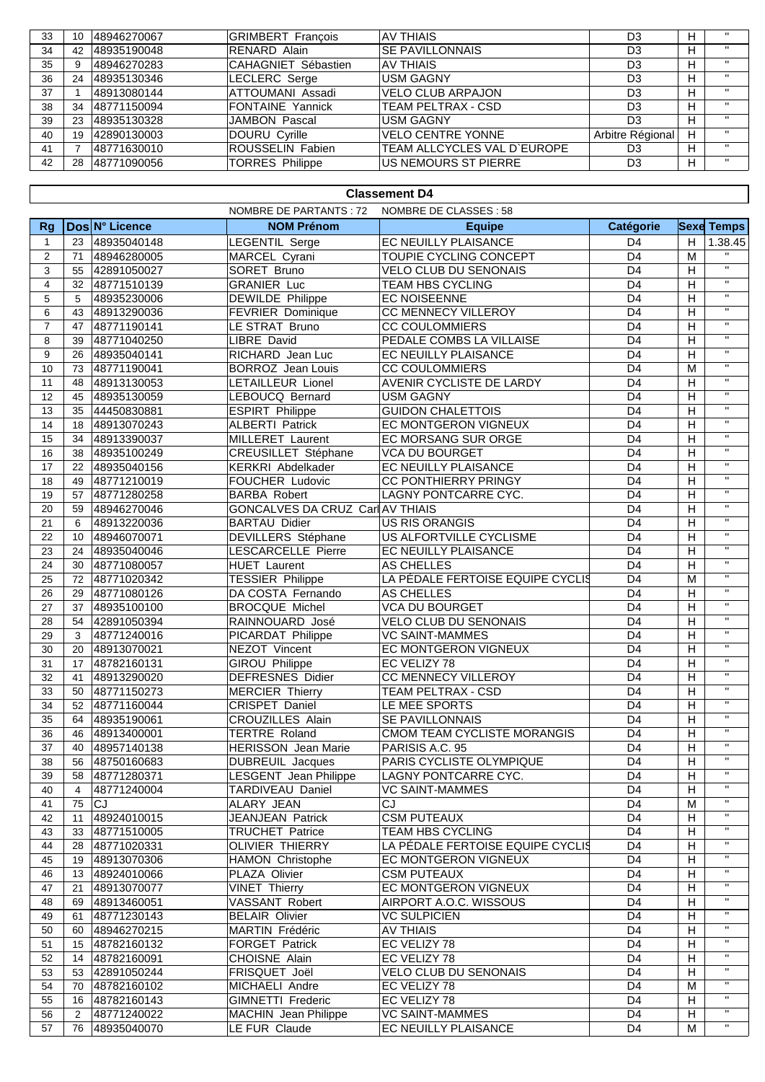| 33 | 10 | 148946270067 | <b>GRIMBERT Francois</b> | <b>AV THIAIS</b>            | D <sub>3</sub>   |   | $\mathbf{u}$      |
|----|----|--------------|--------------------------|-----------------------------|------------------|---|-------------------|
| 34 | 42 | 48935190048  | <b>RENARD Alain</b>      | <b>SE PAVILLONNAIS</b>      | D <sub>3</sub>   |   | $^{\prime\prime}$ |
| 35 |    | 48946270283  | CAHAGNIET Sébastien      | <b>AV THIAIS</b>            | D <sub>3</sub>   | н | $\mathbf{H}$      |
| 36 | 24 | 48935130346  | LECLERC Serge            | <b>USM GAGNY</b>            | D <sub>3</sub>   |   | $\mathbf{H}$      |
| 37 |    | 48913080144  | ATTOUMANI Assadi         | <b>VELO CLUB ARPAJON</b>    | D <sub>3</sub>   | н | $\mathbf{H}$      |
| 38 | 34 | 48771150094  | <b>FONTAINE Yannick</b>  | TEAM PELTRAX - CSD          | D <sub>3</sub>   |   | $^{\prime\prime}$ |
| 39 | 23 | 48935130328  | JAMBON Pascal            | <b>USM GAGNY</b>            | D <sub>3</sub>   | н | $\mathbf{H}$      |
| 40 | 19 | 42890130003  | DOURU Cyrille            | <b>VELO CENTRE YONNE</b>    | Arbitre Régional | H | $\mathbf{H}$      |
| 41 |    | 48771630010  | <b>ROUSSELIN Fabien</b>  | TEAM ALLCYCLES VAL D'EUROPE | D <sub>3</sub>   |   | $\mathbf{u}$      |
| 42 | 28 | 48771090056  | TORRES Philippe          | US NEMOURS ST PIERRE        | D3               | н | $\mathbf{H}$      |

## **Classement D4**

|                  | NOMBRE DE PARTANTS : 72<br>NOMBRE DE CLASSES : 58 |                |                                  |                                  |                  |   |                         |  |  |
|------------------|---------------------------------------------------|----------------|----------------------------------|----------------------------------|------------------|---|-------------------------|--|--|
| <b>Rg</b>        |                                                   | Dos N° Licence | <b>NOM Prénom</b>                | <b>Equipe</b>                    | <b>Catégorie</b> |   | <b>Sexe Temps</b>       |  |  |
| $\mathbf{1}$     | 23                                                | 48935040148    | LEGENTIL Serge                   | EC NEUILLY PLAISANCE             | D <sub>4</sub>   | H | 1.38.45                 |  |  |
| 2                | 71                                                | 48946280005    | MARCEL Cyrani                    | TOUPIE CYCLING CONCEPT           | $\overline{D4}$  | M | $\overline{u}$          |  |  |
| 3                | 55                                                | 42891050027    | SORET Bruno                      | <b>VELO CLUB DU SENONAIS</b>     | D <sub>4</sub>   | H | $\overline{\mathbf{u}}$ |  |  |
| 4                | 32                                                | 48771510139    | <b>GRANIER Luc</b>               | TEAM HBS CYCLING                 | D <sub>4</sub>   | H | $\mathbf{H}$            |  |  |
| 5                | 5                                                 | 48935230006    | <b>DEWILDE Philippe</b>          | <b>EC NOISEENNE</b>              | D <sub>4</sub>   | H | $\mathbf{H}$            |  |  |
| 6                | 43                                                | 48913290036    | FEVRIER Dominique                | CC MENNECY VILLEROY              | D <sub>4</sub>   | H | $\mathbf{H}$            |  |  |
| $\overline{7}$   | 47                                                | 48771190141    | LE STRAT Bruno                   | <b>CC COULOMMIERS</b>            | D <sub>4</sub>   | H | $\overline{u}$          |  |  |
| 8                | 39                                                | 48771040250    | LIBRE David                      | PEDALE COMBS LA VILLAISE         | D <sub>4</sub>   | H | $\mathbf{H}$            |  |  |
| $\boldsymbol{9}$ | 26                                                | 48935040141    | RICHARD Jean Luc                 | EC NEUILLY PLAISANCE             | D <sub>4</sub>   | H | $\mathbf H$             |  |  |
| 10               | 73                                                | 48771190041    | <b>BORROZ</b> Jean Louis         | <b>CC COULOMMIERS</b>            | D <sub>4</sub>   | M | $\mathbf{H}$            |  |  |
| 11               | 48                                                | 48913130053    | LETAILLEUR Lionel                | <b>AVENIR CYCLISTE DE LARDY</b>  | D <sub>4</sub>   | Н | $\mathbf{H}$            |  |  |
| 12               | 45                                                | 48935130059    | LEBOUCQ Bernard                  | <b>USM GAGNY</b>                 | D <sub>4</sub>   | H | $\mathbf{H}$            |  |  |
| 13               | 35                                                | 44450830881    | <b>ESPIRT</b> Philippe           | <b>GUIDON CHALETTOIS</b>         | D <sub>4</sub>   | H | $\mathbf{H}$            |  |  |
| 14               | 18                                                | 48913070243    | <b>ALBERTI Patrick</b>           | <b>EC MONTGERON VIGNEUX</b>      | D <sub>4</sub>   | H | $\overline{u}$          |  |  |
| 15               | 34                                                | 48913390037    | <b>MILLERET Laurent</b>          | EC MORSANG SUR ORGE              | D <sub>4</sub>   | H | $\mathbf{H}$            |  |  |
| 16               | 38                                                | 48935100249    | CREUSILLET Stéphane              | <b>VCA DU BOURGET</b>            | D <sub>4</sub>   | H | $\mathbf{H}$            |  |  |
| 17               | 22                                                | 48935040156    | <b>KERKRI Abdelkader</b>         | EC NEUILLY PLAISANCE             | D <sub>4</sub>   | H | $\mathbf{H}$            |  |  |
| 18               | 49                                                | 48771210019    | FOUCHER Ludovic                  | CC PONTHIERRY PRINGY             | D <sub>4</sub>   | H | $\mathbf{H}$            |  |  |
| 19               | 57                                                | 48771280258    | <b>BARBA Robert</b>              | LAGNY PONTCARRE CYC.             | D <sub>4</sub>   | H | $\mathbf{H}$            |  |  |
| 20               | 59                                                | 48946270046    | GONCALVES DA CRUZ Carl AV THIAIS |                                  | D <sub>4</sub>   | H | $\mathbf{H}$            |  |  |
| 21               | 6                                                 | 48913220036    | <b>BARTAU Didier</b>             | <b>US RIS ORANGIS</b>            | D <sub>4</sub>   | H | $\mathbf{H}$            |  |  |
| 22               | 10 <sup>1</sup>                                   | 48946070071    | DEVILLERS Stéphane               | US ALFORTVILLE CYCLISME          | D <sub>4</sub>   | H | $\mathbf{H}$            |  |  |
| 23               | 24                                                | 48935040046    | LESCARCELLE Pierre               | EC NEUILLY PLAISANCE             | $\overline{D4}$  | H | $\mathbf{H}$            |  |  |
| 24               | 30                                                | 48771080057    | <b>HUET</b> Laurent              | <b>AS CHELLES</b>                | D <sub>4</sub>   | H | $\mathbf{H}$            |  |  |
| 25               | 72                                                | 48771020342    | <b>TESSIER Philippe</b>          | LA PÉDALE FERTOISE EQUIPE CYCLIS | D <sub>4</sub>   | M | $\mathbf{H}$            |  |  |
| 26               | 29                                                | 48771080126    | DA COSTA Fernando                | AS CHELLES                       | D <sub>4</sub>   | H | $\mathbf{H}$            |  |  |
| 27               | 37                                                | 48935100100    | <b>BROCQUE Michel</b>            | <b>VCA DU BOURGET</b>            | D <sub>4</sub>   | H | $\mathbf{H}$            |  |  |
| 28               | 54                                                | 42891050394    | RAINNOUARD José                  | <b>VELO CLUB DU SENONAIS</b>     | D <sub>4</sub>   | Н | $\mathbf{H}$            |  |  |
| 29               | 3                                                 | 48771240016    | PICARDAT Philippe                | <b>VC SAINT-MAMMES</b>           | D <sub>4</sub>   | H | $\overline{\mathbf{u}}$ |  |  |
| 30               | 20                                                | 48913070021    | NEZOT Vincent                    | EC MONTGERON VIGNEUX             | D <sub>4</sub>   | H | $\mathbf{H}$            |  |  |
| 31               | 17                                                | 48782160131    | <b>GIROU Philippe</b>            | EC VELIZY 78                     | D <sub>4</sub>   | H | $\overline{\mathbf{u}}$ |  |  |
| 32               | 41                                                | 48913290020    | <b>DEFRESNES Didier</b>          | CC MENNECY VILLEROY              | D <sub>4</sub>   | H | $\mathbf{H}$            |  |  |
| 33               | 50                                                | 48771150273    | <b>MERCIER Thierry</b>           | TEAM PELTRAX - CSD               | D <sub>4</sub>   | H | $\mathbf{H}$            |  |  |
| 34               | 52                                                | 48771160044    | CRISPET Daniel                   | LE MEE SPORTS                    | D <sub>4</sub>   | H | $\mathbf{H}$            |  |  |
| 35               | 64                                                | 48935190061    | <b>CROUZILLES Alain</b>          | SE PAVILLONNAIS                  | D <sub>4</sub>   | H | $\mathbf{H}$            |  |  |
| 36               | 46                                                | 48913400001    | <b>TERTRE Roland</b>             | CMOM TEAM CYCLISTE MORANGIS      | D <sub>4</sub>   | H | $\mathbf{H}$            |  |  |
| 37               | 40                                                | 48957140138    | <b>HERISSON Jean Marie</b>       | PARISIS A.C. 95                  | D <sub>4</sub>   | H | $\mathbf{H}$            |  |  |
| 38               | 56                                                | 48750160683    | <b>DUBREUIL Jacques</b>          | PARIS CYCLISTE OLYMPIQUE         | D <sub>4</sub>   | H | $\mathbf{H}$            |  |  |
| 39               | 58                                                | 48771280371    | LESGENT Jean Philippe            | LAGNY PONTCARRE CYC.             | D <sub>4</sub>   | H | $\mathbf{H}$            |  |  |
| 40               | 4                                                 | 48771240004    | TARDIVEAU Daniel                 | <b>VC SAINT-MAMMES</b>           | D4               | H | $\mathbf{H}$            |  |  |
| 41               | 75                                                | <b>CJ</b>      | ALARY JEAN                       | <b>CJ</b>                        | D <sub>4</sub>   | M | $\mathbf{H}$            |  |  |
| 42               | 11                                                | 48924010015    | JEANJEAN Patrick                 | <b>CSM PUTEAUX</b>               | D <sub>4</sub>   | Н | $\mathbf{H}$            |  |  |
| 43               | 33                                                | 48771510005    | <b>TRUCHET Patrice</b>           | <b>TEAM HBS CYCLING</b>          | D <sub>4</sub>   | H | $\mathbf{H}$            |  |  |
| 44               | 28                                                | 48771020331    | <b>OLIVIER THIERRY</b>           | LA PÉDALE FERTOISE EQUIPE CYCLIS | D <sub>4</sub>   | H | $\pmb{\mathsf{H}}$      |  |  |
| 45               | 19                                                | 48913070306    | <b>HAMON Christophe</b>          | EC MONTGERON VIGNEUX             | D <sub>4</sub>   | Н |                         |  |  |
| 46               | 13                                                | 48924010066    | PLAZA Olivier                    | <b>CSM PUTEAUX</b>               | D <sub>4</sub>   | Н | $\mathbf{H}$            |  |  |
| 47               | 21                                                | 48913070077    | <b>VINET Thierry</b>             | EC MONTGERON VIGNEUX             | D <sub>4</sub>   | Н | $\mathbf H$             |  |  |
| 48               | 69                                                | 48913460051    | VASSANT Robert                   | AIRPORT A.O.C. WISSOUS           | D <sub>4</sub>   | Н | $\mathbf{H}$            |  |  |
| 49               | 61                                                | 48771230143    | <b>BELAIR Olivier</b>            | <b>VC SULPICIEN</b>              | D <sub>4</sub>   | H | $\mathbf{H}$            |  |  |
| 50               | 60                                                | 48946270215    | MARTIN Frédéric                  | AV THIAIS                        | D <sub>4</sub>   | Н |                         |  |  |
| 51               | 15                                                | 48782160132    | <b>FORGET Patrick</b>            | EC VELIZY 78                     | D4               | Н | $\mathbf{H}$            |  |  |
| 52               | 14                                                | 48782160091    | CHOISNE Alain                    | EC VELIZY 78                     | D <sub>4</sub>   | H | $\mathbf{H}$            |  |  |
| 53               | 53                                                | 42891050244    | FRISQUET Joël                    | VELO CLUB DU SENONAIS            | D <sub>4</sub>   | Н | $\mathbf H$             |  |  |
| 54               | 70                                                | 48782160102    | MICHAELI Andre                   | EC VELIZY 78                     | D <sub>4</sub>   | М | $\pmb{\mathsf{H}}$      |  |  |
| 55               | 16                                                | 48782160143    | <b>GIMNETTI Frederic</b>         | EC VELIZY 78                     | D <sub>4</sub>   | H | $\mathbf H$             |  |  |
| 56               | 2                                                 | 48771240022    | MACHIN Jean Philippe             | <b>VC SAINT-MAMMES</b>           | D <sub>4</sub>   | Н |                         |  |  |
| 57               | 76                                                | 48935040070    | LE FUR Claude                    | EC NEUILLY PLAISANCE             | D <sub>4</sub>   | M | $\mathbf{H}$            |  |  |